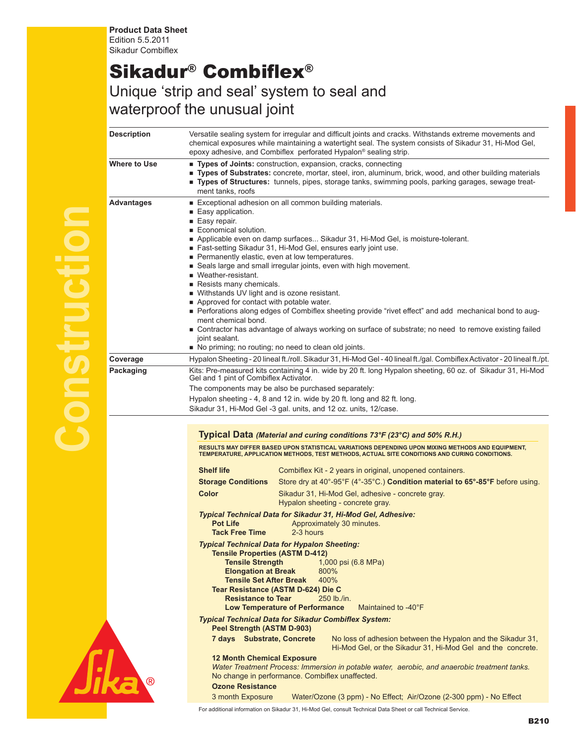## Sikadur® Combiflex®

## Unique 'strip and seal' system to seal and waterproof the unusual joint

| <b>Description</b>  | Versatile sealing system for irregular and difficult joints and cracks. Withstands extreme movements and<br>chemical exposures while maintaining a watertight seal. The system consists of Sikadur 31, Hi-Mod Gel,<br>epoxy adhesive, and Combiflex perforated Hypalon® sealing strip.                                                                                                                                                                                                                                                                                                                                                                                                                                                                                                                                                                                  |
|---------------------|-------------------------------------------------------------------------------------------------------------------------------------------------------------------------------------------------------------------------------------------------------------------------------------------------------------------------------------------------------------------------------------------------------------------------------------------------------------------------------------------------------------------------------------------------------------------------------------------------------------------------------------------------------------------------------------------------------------------------------------------------------------------------------------------------------------------------------------------------------------------------|
| <b>Where to Use</b> | " Types of Joints: construction, expansion, cracks, connecting<br>" Types of Substrates: concrete, mortar, steel, iron, aluminum, brick, wood, and other building materials<br>" Types of Structures: tunnels, pipes, storage tanks, swimming pools, parking garages, sewage treat-<br>ment tanks, roofs                                                                                                                                                                                                                                                                                                                                                                                                                                                                                                                                                                |
| <b>Advantages</b>   | Exceptional adhesion on all common building materials.<br>■ Easy application.<br>■ Easy repair.<br>Economical solution.<br>Applicable even on damp surfaces Sikadur 31, Hi-Mod Gel, is moisture-tolerant.<br>Fast-setting Sikadur 31, Hi-Mod Gel, ensures early joint use.<br>Permanently elastic, even at low temperatures.<br>Seals large and small irregular joints, even with high movement.<br>■ Weather-resistant.<br>Resists many chemicals.<br>■ Withstands UV light and is ozone resistant.<br>Approved for contact with potable water.<br>- Perforations along edges of Combiflex sheeting provide "rivet effect" and add mechanical bond to aug-<br>ment chemical bond.<br>■ Contractor has advantage of always working on surface of substrate; no need to remove existing failed<br>joint sealant.<br>No priming; no routing; no need to clean old joints. |
| Coverage            | Hypalon Sheeting - 20 lineal ft./roll. Sikadur 31, Hi-Mod Gel - 40 lineal ft./gal. Combiflex Activator - 20 lineal ft./pt.                                                                                                                                                                                                                                                                                                                                                                                                                                                                                                                                                                                                                                                                                                                                              |
| Packaging           | Kits: Pre-measured kits containing 4 in. wide by 20 ft. long Hypalon sheeting, 60 oz. of Sikadur 31, Hi-Mod<br>Gel and 1 pint of Combiflex Activator.<br>The components may be also be purchased separately:<br>Hypalon sheeting - 4, 8 and 12 in. wide by 20 ft. long and 82 ft. long.<br>Sikadur 31, Hi-Mod Gel -3 gal. units, and 12 oz. units, 12/case.                                                                                                                                                                                                                                                                                                                                                                                                                                                                                                             |
|                     | Typical Data (Material and curing conditions 73°F (23°C) and 50% R.H.)<br>RESULTS MAY DIFFER BASED UPON STATISTICAL VARIATIONS DEPENDING UPON MIXING METHODS AND EQUIPMENT,<br>TEMPERATURE, APPLICATION METHODS, TEST METHODS, ACTUAL SITE CONDITIONS AND CURING CONDITIONS.<br><b>Shelf life</b><br>Combiflex Kit - 2 years in original, unopened containers.                                                                                                                                                                                                                                                                                                                                                                                                                                                                                                          |
|                     | Store dry at 40°-95°F (4°-35°C.) Condition material to 65°-85°F before using.<br><b>Storage Conditions</b><br><b>Color</b><br>Sikadur 31, Hi-Mod Gel, adhesive - concrete gray.<br>Hypalon sheeting - concrete gray.                                                                                                                                                                                                                                                                                                                                                                                                                                                                                                                                                                                                                                                    |
|                     | Typical Technical Data for Sikadur 31, Hi-Mod Gel, Adhesive:<br><b>Pot Life</b><br>Approximately 30 minutes.<br><b>Tack Free Time</b><br>2-3 hours                                                                                                                                                                                                                                                                                                                                                                                                                                                                                                                                                                                                                                                                                                                      |
|                     | <b>Typical Technical Data for Hypalon Sheeting:</b><br>Tensile Properties (ASTM D-412)<br><b>Tensile Strength</b><br>1,000 psi (6.8 MPa)<br><b>Elongation at Break</b><br>800%<br><b>Tensile Set After Break</b><br>400%<br>Tear Resistance (ASTM D-624) Die C<br><b>Resistance to Tear</b><br>250 lb./in.<br><b>Low Temperature of Performance</b><br>Maintained to -40°F                                                                                                                                                                                                                                                                                                                                                                                                                                                                                              |
|                     | <b>Typical Technical Data for Sikadur Combiflex System:</b><br><b>Peel Strength (ASTM D-903)</b>                                                                                                                                                                                                                                                                                                                                                                                                                                                                                                                                                                                                                                                                                                                                                                        |
|                     | 7 days Substrate, Concrete<br>No loss of adhesion between the Hypalon and the Sikadur 31,<br>Hi-Mod Gel, or the Sikadur 31, Hi-Mod Gel and the concrete.                                                                                                                                                                                                                                                                                                                                                                                                                                                                                                                                                                                                                                                                                                                |
|                     | <b>12 Month Chemical Exposure</b><br>Water Treatment Process: Immersion in potable water, aerobic, and anaerobic treatment tanks.<br>No change in performance. Combiflex unaffected.<br><b>Ozone Resistance</b>                                                                                                                                                                                                                                                                                                                                                                                                                                                                                                                                                                                                                                                         |
|                     | 3 month Exposure<br>Water/Ozone (3 ppm) - No Effect; Air/Ozone (2-300 ppm) - No Effect                                                                                                                                                                                                                                                                                                                                                                                                                                                                                                                                                                                                                                                                                                                                                                                  |
|                     | For additional information on Sikadur 31, Hi-Mod Gel, consult Technical Data Sheet or call Technical Service.                                                                                                                                                                                                                                                                                                                                                                                                                                                                                                                                                                                                                                                                                                                                                           |